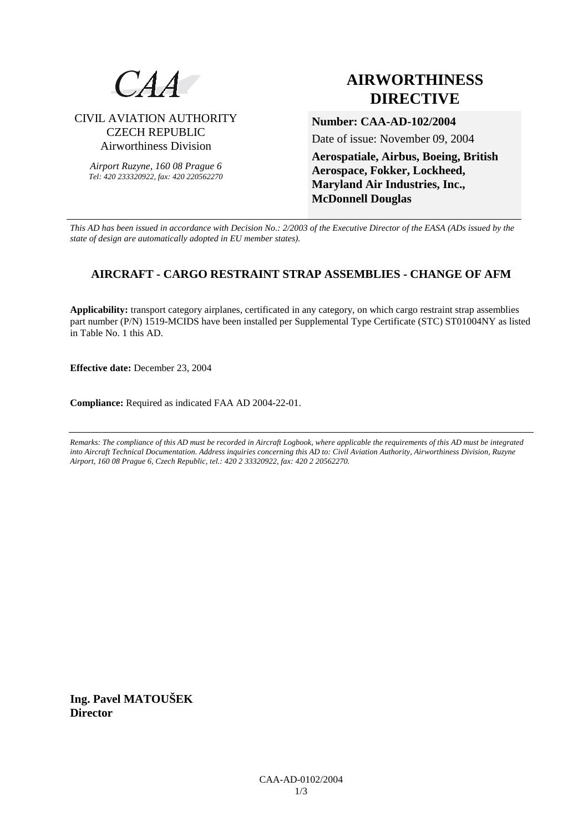

### CIVIL AVIATION AUTHORITY CZECH REPUBLIC Airworthiness Division

*Airport Ruzyne, 160 08 Prague 6 Tel: 420 233320922, fax: 420 220562270*

# **AIRWORTHINESS DIRECTIVE**

**Number: CAA-AD-102/2004** 

Date of issue: November 09, 2004

**Aerospatiale, Airbus, Boeing, British Aerospace, Fokker, Lockheed, Maryland Air Industries, Inc., McDonnell Douglas** 

*This AD has been issued in accordance with Decision No.: 2/2003 of the Executive Director of the EASA (ADs issued by the state of design are automatically adopted in EU member states).*

## **AIRCRAFT - CARGO RESTRAINT STRAP ASSEMBLIES - CHANGE OF AFM**

**Applicability:** transport category airplanes, certificated in any category, on which cargo restraint strap assemblies part number (P/N) 1519-MCIDS have been installed per Supplemental Type Certificate (STC) ST01004NY as listed in Table No. 1 this AD.

**Effective date:** December 23, 2004

**Compliance:** Required as indicated FAA AD 2004-22-01.

*Remarks: The compliance of this AD must be recorded in Aircraft Logbook, where applicable the requirements of this AD must be integrated into Aircraft Technical Documentation. Address inquiries concerning this AD to: Civil Aviation Authority, Airworthiness Division, Ruzyne Airport, 160 08 Prague 6, Czech Republic, tel.: 420 2 33320922, fax: 420 2 20562270.* 

**Ing. Pavel MATOUŠEK Director**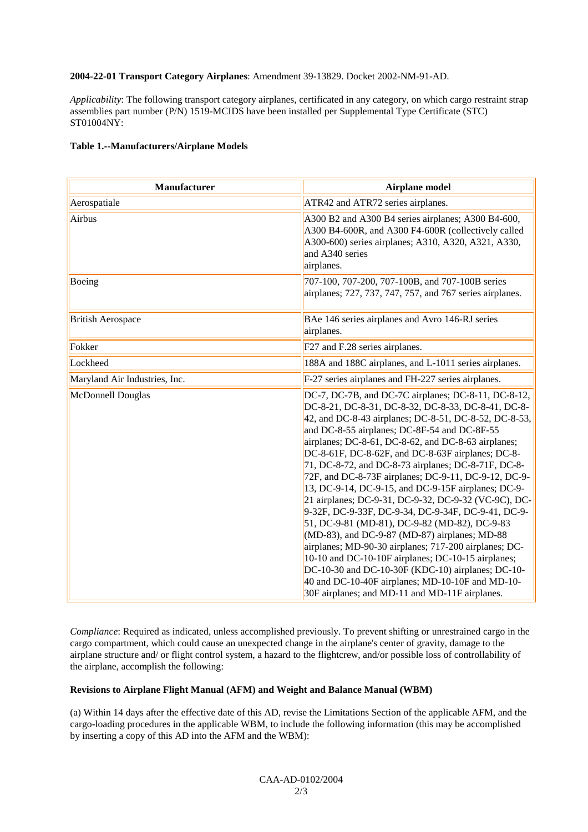#### **2004-22-01 Transport Category Airplanes**: Amendment 39-13829. Docket 2002-NM-91-AD.

*Applicability*: The following transport category airplanes, certificated in any category, on which cargo restraint strap assemblies part number (P/N) 1519-MCIDS have been installed per Supplemental Type Certificate (STC) ST01004NY:

#### **Table 1.--Manufacturers/Airplane Models**

| <b>Manufacturer</b>           | <b>Airplane model</b>                                                                                                                                                                                                                                                                                                                                                                                                                                                                                                                                                                                                                                                                                                                                                                                                                                                                                                                                                                          |
|-------------------------------|------------------------------------------------------------------------------------------------------------------------------------------------------------------------------------------------------------------------------------------------------------------------------------------------------------------------------------------------------------------------------------------------------------------------------------------------------------------------------------------------------------------------------------------------------------------------------------------------------------------------------------------------------------------------------------------------------------------------------------------------------------------------------------------------------------------------------------------------------------------------------------------------------------------------------------------------------------------------------------------------|
| Aerospatiale                  | ATR42 and ATR72 series airplanes.                                                                                                                                                                                                                                                                                                                                                                                                                                                                                                                                                                                                                                                                                                                                                                                                                                                                                                                                                              |
| Airbus                        | A300 B2 and A300 B4 series airplanes; A300 B4-600,<br>A300 B4-600R, and A300 F4-600R (collectively called<br>A300-600) series airplanes; A310, A320, A321, A330,<br>and A340 series<br>airplanes.                                                                                                                                                                                                                                                                                                                                                                                                                                                                                                                                                                                                                                                                                                                                                                                              |
| Boeing                        | 707-100, 707-200, 707-100B, and 707-100B series<br>airplanes; 727, 737, 747, 757, and 767 series airplanes.                                                                                                                                                                                                                                                                                                                                                                                                                                                                                                                                                                                                                                                                                                                                                                                                                                                                                    |
| <b>British Aerospace</b>      | BAe 146 series airplanes and Avro 146-RJ series<br>airplanes.                                                                                                                                                                                                                                                                                                                                                                                                                                                                                                                                                                                                                                                                                                                                                                                                                                                                                                                                  |
| Fokker                        | F27 and F.28 series airplanes.                                                                                                                                                                                                                                                                                                                                                                                                                                                                                                                                                                                                                                                                                                                                                                                                                                                                                                                                                                 |
| Lockheed                      | 188A and 188C airplanes, and L-1011 series airplanes.                                                                                                                                                                                                                                                                                                                                                                                                                                                                                                                                                                                                                                                                                                                                                                                                                                                                                                                                          |
| Maryland Air Industries, Inc. | F-27 series airplanes and FH-227 series airplanes.                                                                                                                                                                                                                                                                                                                                                                                                                                                                                                                                                                                                                                                                                                                                                                                                                                                                                                                                             |
| McDonnell Douglas             | DC-7, DC-7B, and DC-7C airplanes; DC-8-11, DC-8-12,<br>DC-8-21, DC-8-31, DC-8-32, DC-8-33, DC-8-41, DC-8-<br>42, and DC-8-43 airplanes; DC-8-51, DC-8-52, DC-8-53,<br>and DC-8-55 airplanes; DC-8F-54 and DC-8F-55<br>airplanes; DC-8-61, DC-8-62, and DC-8-63 airplanes;<br>DC-8-61F, DC-8-62F, and DC-8-63F airplanes; DC-8-<br>71, DC-8-72, and DC-8-73 airplanes; DC-8-71F, DC-8-<br>72F, and DC-8-73F airplanes; DC-9-11, DC-9-12, DC-9-<br>13, DC-9-14, DC-9-15, and DC-9-15F airplanes; DC-9-<br>21 airplanes; DC-9-31, DC-9-32, DC-9-32 (VC-9C), DC-<br>9-32F, DC-9-33F, DC-9-34, DC-9-34F, DC-9-41, DC-9-<br>51, DC-9-81 (MD-81), DC-9-82 (MD-82), DC-9-83<br>(MD-83), and DC-9-87 (MD-87) airplanes; MD-88<br>airplanes; MD-90-30 airplanes; 717-200 airplanes; DC-<br>10-10 and DC-10-10F airplanes; DC-10-15 airplanes;<br>DC-10-30 and DC-10-30F (KDC-10) airplanes; DC-10-<br>40 and DC-10-40F airplanes; MD-10-10F and MD-10-<br>30F airplanes; and MD-11 and MD-11F airplanes. |

*Compliance*: Required as indicated, unless accomplished previously. To prevent shifting or unrestrained cargo in the cargo compartment, which could cause an unexpected change in the airplane's center of gravity, damage to the airplane structure and/ or flight control system, a hazard to the flightcrew, and/or possible loss of controllability of the airplane, accomplish the following:

#### **Revisions to Airplane Flight Manual (AFM) and Weight and Balance Manual (WBM)**

(a) Within 14 days after the effective date of this AD, revise the Limitations Section of the applicable AFM, and the cargo-loading procedures in the applicable WBM, to include the following information (this may be accomplished by inserting a copy of this AD into the AFM and the WBM):